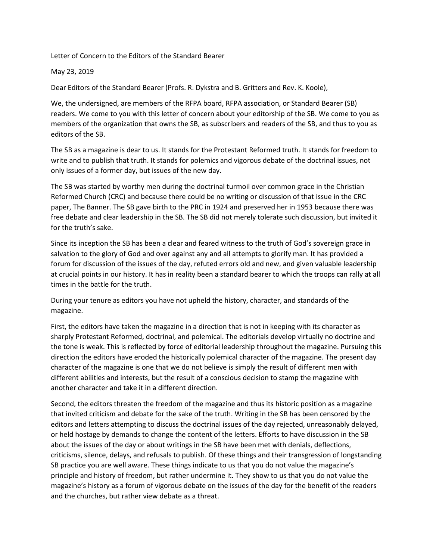Letter of Concern to the Editors of the Standard Bearer

May 23, 2019

Dear Editors of the Standard Bearer (Profs. R. Dykstra and B. Gritters and Rev. K. Koole),

We, the undersigned, are members of the RFPA board, RFPA association, or Standard Bearer (SB) readers. We come to you with this letter of concern about your editorship of the SB. We come to you as members of the organization that owns the SB, as subscribers and readers of the SB, and thus to you as editors of the SB.

The SB as a magazine is dear to us. It stands for the Protestant Reformed truth. It stands for freedom to write and to publish that truth. It stands for polemics and vigorous debate of the doctrinal issues, not only issues of a former day, but issues of the new day.

The SB was started by worthy men during the doctrinal turmoil over common grace in the Christian Reformed Church (CRC) and because there could be no writing or discussion of that issue in the CRC paper, The Banner. The SB gave birth to the PRC in 1924 and preserved her in 1953 because there was free debate and clear leadership in the SB. The SB did not merely tolerate such discussion, but invited it for the truth's sake.

Since its inception the SB has been a clear and feared witness to the truth of God's sovereign grace in salvation to the glory of God and over against any and all attempts to glorify man. It has provided a forum for discussion of the issues of the day, refuted errors old and new, and given valuable leadership at crucial points in our history. It has in reality been a standard bearer to which the troops can rally at all times in the battle for the truth.

During your tenure as editors you have not upheld the history, character, and standards of the magazine.

First, the editors have taken the magazine in a direction that is not in keeping with its character as sharply Protestant Reformed, doctrinal, and polemical. The editorials develop virtually no doctrine and the tone is weak. This is reflected by force of editorial leadership throughout the magazine. Pursuing this direction the editors have eroded the historically polemical character of the magazine. The present day character of the magazine is one that we do not believe is simply the result of different men with different abilities and interests, but the result of a conscious decision to stamp the magazine with another character and take it in a different direction.

Second, the editors threaten the freedom of the magazine and thus its historic position as a magazine that invited criticism and debate for the sake of the truth. Writing in the SB has been censored by the editors and letters attempting to discuss the doctrinal issues of the day rejected, unreasonably delayed, or held hostage by demands to change the content of the letters. Efforts to have discussion in the SB about the issues of the day or about writings in the SB have been met with denials, deflections, criticisms, silence, delays, and refusals to publish. Of these things and their transgression of longstanding SB practice you are well aware. These things indicate to us that you do not value the magazine's principle and history of freedom, but rather undermine it. They show to us that you do not value the magazine's history as a forum of vigorous debate on the issues of the day for the benefit of the readers and the churches, but rather view debate as a threat.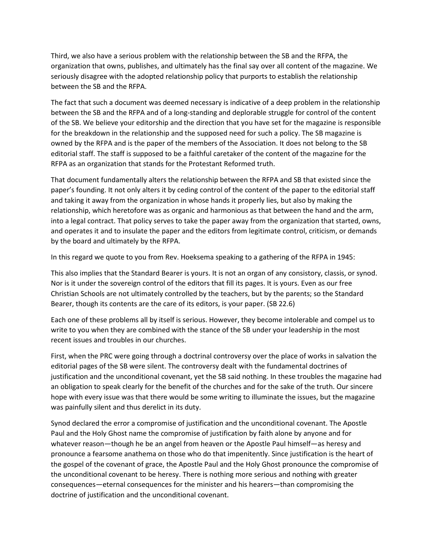Third, we also have a serious problem with the relationship between the SB and the RFPA, the organization that owns, publishes, and ultimately has the final say over all content of the magazine. We seriously disagree with the adopted relationship policy that purports to establish the relationship between the SB and the RFPA.

The fact that such a document was deemed necessary is indicative of a deep problem in the relationship between the SB and the RFPA and of a long-standing and deplorable struggle for control of the content of the SB. We believe your editorship and the direction that you have set for the magazine is responsible for the breakdown in the relationship and the supposed need for such a policy. The SB magazine is owned by the RFPA and is the paper of the members of the Association. It does not belong to the SB editorial staff. The staff is supposed to be a faithful caretaker of the content of the magazine for the RFPA as an organization that stands for the Protestant Reformed truth.

That document fundamentally alters the relationship between the RFPA and SB that existed since the paper's founding. It not only alters it by ceding control of the content of the paper to the editorial staff and taking it away from the organization in whose hands it properly lies, but also by making the relationship, which heretofore was as organic and harmonious as that between the hand and the arm, into a legal contract. That policy serves to take the paper away from the organization that started, owns, and operates it and to insulate the paper and the editors from legitimate control, criticism, or demands by the board and ultimately by the RFPA.

In this regard we quote to you from Rev. Hoeksema speaking to a gathering of the RFPA in 1945:

This also implies that the Standard Bearer is yours. It is not an organ of any consistory, classis, or synod. Nor is it under the sovereign control of the editors that fill its pages. It is yours. Even as our free Christian Schools are not ultimately controlled by the teachers, but by the parents; so the Standard Bearer, though its contents are the care of its editors, is your paper. (SB 22.6)

Each one of these problems all by itself is serious. However, they become intolerable and compel us to write to you when they are combined with the stance of the SB under your leadership in the most recent issues and troubles in our churches.

First, when the PRC were going through a doctrinal controversy over the place of works in salvation the editorial pages of the SB were silent. The controversy dealt with the fundamental doctrines of justification and the unconditional covenant, yet the SB said nothing. In these troubles the magazine had an obligation to speak clearly for the benefit of the churches and for the sake of the truth. Our sincere hope with every issue was that there would be some writing to illuminate the issues, but the magazine was painfully silent and thus derelict in its duty.

Synod declared the error a compromise of justification and the unconditional covenant. The Apostle Paul and the Holy Ghost name the compromise of justification by faith alone by anyone and for whatever reason—though he be an angel from heaven or the Apostle Paul himself—as heresy and pronounce a fearsome anathema on those who do that impenitently. Since justification is the heart of the gospel of the covenant of grace, the Apostle Paul and the Holy Ghost pronounce the compromise of the unconditional covenant to be heresy. There is nothing more serious and nothing with greater consequences—eternal consequences for the minister and his hearers—than compromising the doctrine of justification and the unconditional covenant.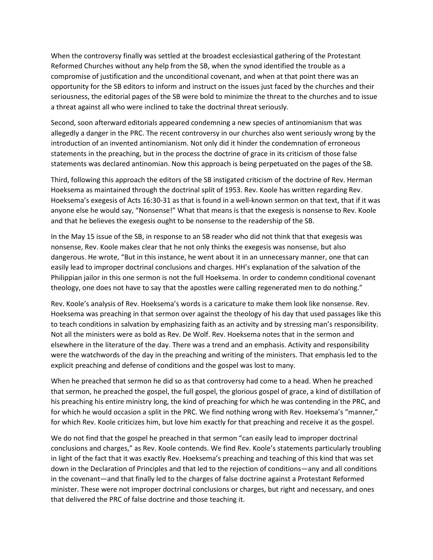When the controversy finally was settled at the broadest ecclesiastical gathering of the Protestant Reformed Churches without any help from the SB, when the synod identified the trouble as a compromise of justification and the unconditional covenant, and when at that point there was an opportunity for the SB editors to inform and instruct on the issues just faced by the churches and their seriousness, the editorial pages of the SB were bold to minimize the threat to the churches and to issue a threat against all who were inclined to take the doctrinal threat seriously.

Second, soon afterward editorials appeared condemning a new species of antinomianism that was allegedly a danger in the PRC. The recent controversy in our churches also went seriously wrong by the introduction of an invented antinomianism. Not only did it hinder the condemnation of erroneous statements in the preaching, but in the process the doctrine of grace in its criticism of those false statements was declared antinomian. Now this approach is being perpetuated on the pages of the SB.

Third, following this approach the editors of the SB instigated criticism of the doctrine of Rev. Herman Hoeksema as maintained through the doctrinal split of 1953. Rev. Koole has written regarding Rev. Hoeksema's exegesis of Acts 16:30-31 as that is found in a well-known sermon on that text, that if it was anyone else he would say, "Nonsense!" What that means is that the exegesis is nonsense to Rev. Koole and that he believes the exegesis ought to be nonsense to the readership of the SB.

In the May 15 issue of the SB, in response to an SB reader who did not think that that exegesis was nonsense, Rev. Koole makes clear that he not only thinks the exegesis was nonsense, but also dangerous. He wrote, "But in this instance, he went about it in an unnecessary manner, one that can easily lead to improper doctrinal conclusions and charges. HH's explanation of the salvation of the Philippian jailor in this one sermon is not the full Hoeksema. In order to condemn conditional covenant theology, one does not have to say that the apostles were calling regenerated men to do nothing."

Rev. Koole's analysis of Rev. Hoeksema's words is a caricature to make them look like nonsense. Rev. Hoeksema was preaching in that sermon over against the theology of his day that used passages like this to teach conditions in salvation by emphasizing faith as an activity and by stressing man's responsibility. Not all the ministers were as bold as Rev. De Wolf. Rev. Hoeksema notes that in the sermon and elsewhere in the literature of the day. There was a trend and an emphasis. Activity and responsibility were the watchwords of the day in the preaching and writing of the ministers. That emphasis led to the explicit preaching and defense of conditions and the gospel was lost to many.

When he preached that sermon he did so as that controversy had come to a head. When he preached that sermon, he preached the gospel, the full gospel, the glorious gospel of grace, a kind of distillation of his preaching his entire ministry long, the kind of preaching for which he was contending in the PRC, and for which he would occasion a split in the PRC. We find nothing wrong with Rev. Hoeksema's "manner," for which Rev. Koole criticizes him, but love him exactly for that preaching and receive it as the gospel.

We do not find that the gospel he preached in that sermon "can easily lead to improper doctrinal conclusions and charges," as Rev. Koole contends. We find Rev. Koole's statements particularly troubling in light of the fact that it was exactly Rev. Hoeksema's preaching and teaching of this kind that was set down in the Declaration of Principles and that led to the rejection of conditions—any and all conditions in the covenant—and that finally led to the charges of false doctrine against a Protestant Reformed minister. These were not improper doctrinal conclusions or charges, but right and necessary, and ones that delivered the PRC of false doctrine and those teaching it.